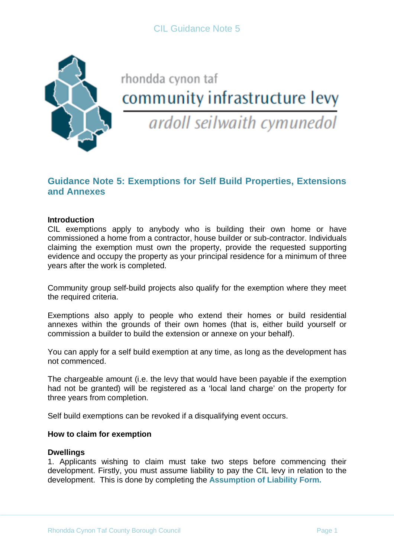

# rhondda cynon taf community infrastructure levy

ardoll seilwaith cymunedol

# **Guidance Note 5: Exemptions for Self Build Properties, Extensions and Annexes**

# **Introduction**

CIL exemptions apply to anybody who is building their own home or have commissioned a home from a contractor, house builder or sub-contractor. Individuals claiming the exemption must own the property, provide the requested supporting evidence and occupy the property as your principal residence for a minimum of three years after the work is completed.

Community group self-build projects also qualify for the exemption where they meet the required criteria.

Exemptions also apply to people who extend their homes or build residential annexes within the grounds of their own homes (that is, either build yourself or commission a builder to build the extension or annexe on your behalf).

You can apply for a self build exemption at any time, as long as the development has not commenced.

The chargeable amount (i.e. the levy that would have been payable if the exemption had not be granted) will be registered as a 'local land charge' on the property for three years from completion.

Self build exemptions can be revoked if a disqualifying event occurs.

#### **How to claim for exemption**

#### **Dwellings**

1. Applicants wishing to claim must take two steps before commencing their development. Firstly, you must assume liability to pay the CIL levy in relation to the development. This is done by completing the **Assumption of Liability Form.**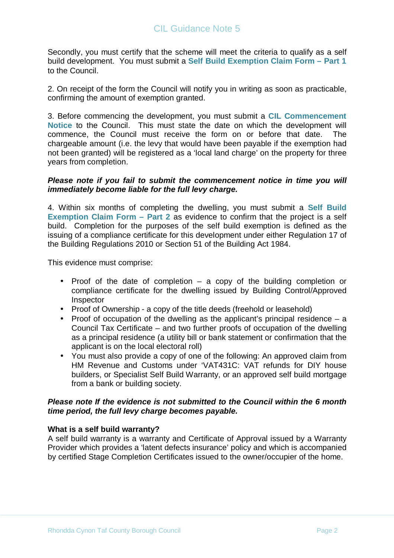# CIL Guidance Note 5

Secondly, you must certify that the scheme will meet the criteria to qualify as a self build development. You must submit a **Self Build Exemption Claim Form – Part 1** to the Council.

2. On receipt of the form the Council will notify you in writing as soon as practicable, confirming the amount of exemption granted.

3. Before commencing the development, you must submit a **CIL Commencement Notice** to the Council. This must state the date on which the development will commence, the Council must receive the form on or before that date. The chargeable amount (i.e. the levy that would have been payable if the exemption had not been granted) will be registered as a 'local land charge' on the property for three years from completion.

# **Please note if you fail to submit the commencement notice in time you will immediately become liable for the full levy charge.**

4. Within six months of completing the dwelling, you must submit a **Self Build Exemption Claim Form – Part 2** as evidence to confirm that the project is a self build. Completion for the purposes of the self build exemption is defined as the issuing of a compliance certificate for this development under either Regulation 17 of the Building Regulations 2010 or Section 51 of the Building Act 1984.

This evidence must comprise:

- Proof of the date of completion a copy of the building completion or compliance certificate for the dwelling issued by Building Control/Approved Inspector
- Proof of Ownership a copy of the title deeds (freehold or leasehold)
- Proof of occupation of the dwelling as the applicant's principal residence  $-$  a Council Tax Certificate – and two further proofs of occupation of the dwelling as a principal residence (a utility bill or bank statement or confirmation that the applicant is on the local electoral roll)
- You must also provide a copy of one of the following: An approved claim from HM Revenue and Customs under 'VAT431C: VAT refunds for DIY house builders, or Specialist Self Build Warranty, or an approved self build mortgage from a bank or building society.

# **Please note If the evidence is not submitted to the Council within the 6 month time period, the full levy charge becomes payable.**

#### **What is a self build warranty?**

A self build warranty is a warranty and Certificate of Approval issued by a Warranty Provider which provides a 'latent defects insurance' policy and which is accompanied by certified Stage Completion Certificates issued to the owner/occupier of the home.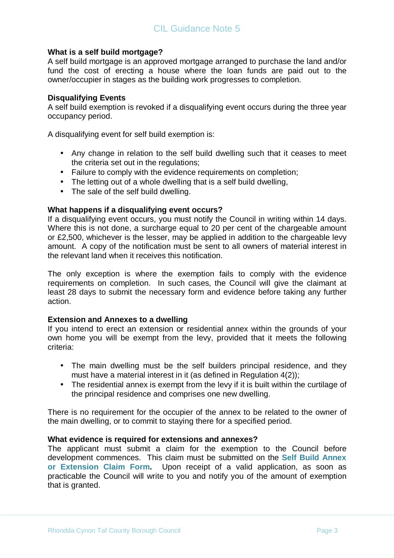# **What is a self build mortgage?**

A self build mortgage is an approved mortgage arranged to purchase the land and/or fund the cost of erecting a house where the loan funds are paid out to the owner/occupier in stages as the building work progresses to completion.

# **Disqualifying Events**

A self build exemption is revoked if a disqualifying event occurs during the three year occupancy period.

A disqualifying event for self build exemption is:

- Any change in relation to the self build dwelling such that it ceases to meet the criteria set out in the regulations;
- Failure to comply with the evidence requirements on completion;
- The letting out of a whole dwelling that is a self build dwelling,
- The sale of the self build dwelling.

# **What happens if a disqualifying event occurs?**

If a disqualifying event occurs, you must notify the Council in writing within 14 days. Where this is not done, a surcharge equal to 20 per cent of the chargeable amount or £2,500, whichever is the lesser, may be applied in addition to the chargeable levy amount. A copy of the notification must be sent to all owners of material interest in the relevant land when it receives this notification.

The only exception is where the exemption fails to comply with the evidence requirements on completion. In such cases, the Council will give the claimant at least 28 days to submit the necessary form and evidence before taking any further action.

#### **Extension and Annexes to a dwelling**

If you intend to erect an extension or residential annex within the grounds of your own home you will be exempt from the levy, provided that it meets the following criteria:

- The main dwelling must be the self builders principal residence, and they must have a material interest in it (as defined in Regulation 4(2));
- The residential annex is exempt from the levy if it is built within the curtilage of the principal residence and comprises one new dwelling.

There is no requirement for the occupier of the annex to be related to the owner of the main dwelling, or to commit to staying there for a specified period.

#### **What evidence is required for extensions and annexes?**

The applicant must submit a claim for the exemption to the Council before development commences. This claim must be submitted on the **Self Build Annex or Extension Claim Form.** Upon receipt of a valid application, as soon as practicable the Council will write to you and notify you of the amount of exemption that is granted.